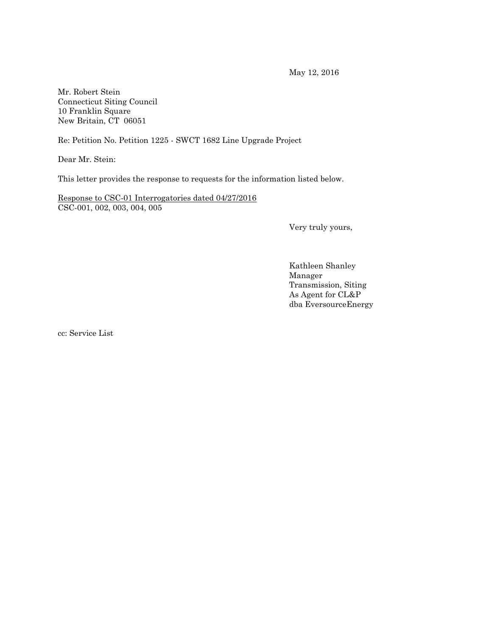May 12, 2016

Mr. Robert Stein Connecticut Siting Council 10 Franklin Square New Britain, CT 06051

Re: Petition No. Petition 1225 - SWCT 1682 Line Upgrade Project

Dear Mr. Stein:

This letter provides the response to requests for the information listed below.

Response to CSC-01 Interrogatories dated 04/27/2016 CSC-001, 002, 003, 004, 005

Very truly yours,

Kathleen Shanley Manager Transmission, Siting As Agent for CL&P dba EversourceEnergy

cc: Service List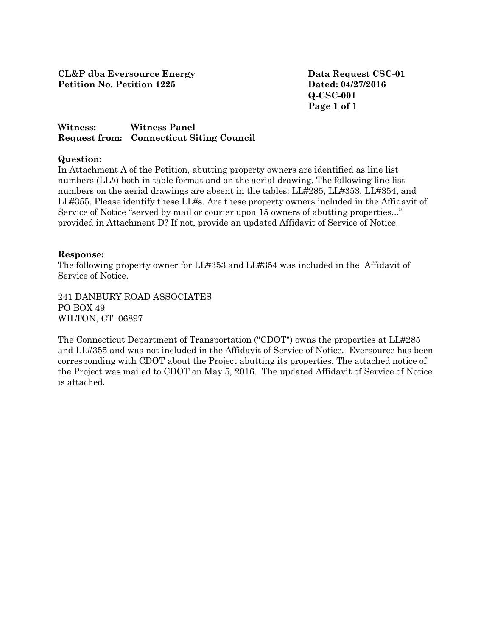**Q-CSC-001 Page 1 of 1**

## **Witness: Witness Panel Request from: Connecticut Siting Council**

### **Question:**

In Attachment A of the Petition, abutting property owners are identified as line list numbers (LL#) both in table format and on the aerial drawing. The following line list numbers on the aerial drawings are absent in the tables: LL#285, LL#353, LL#354, and LL#355. Please identify these LL#s. Are these property owners included in the Affidavit of Service of Notice "served by mail or courier upon 15 owners of abutting properties..." provided in Attachment D? If not, provide an updated Affidavit of Service of Notice.

### **Response:**

The following property owner for LL#353 and LL#354 was included in the Affidavit of Service of Notice.

241 DANBURY ROAD ASSOCIATES PO BOX 49 WILTON, CT 06897

The Connecticut Department of Transportation ("CDOT") owns the properties at LL#285 and LL#355 and was not included in the Affidavit of Service of Notice. Eversource has been corresponding with CDOT about the Project abutting its properties. The attached notice of the Project was mailed to CDOT on May 5, 2016. The updated Affidavit of Service of Notice is attached.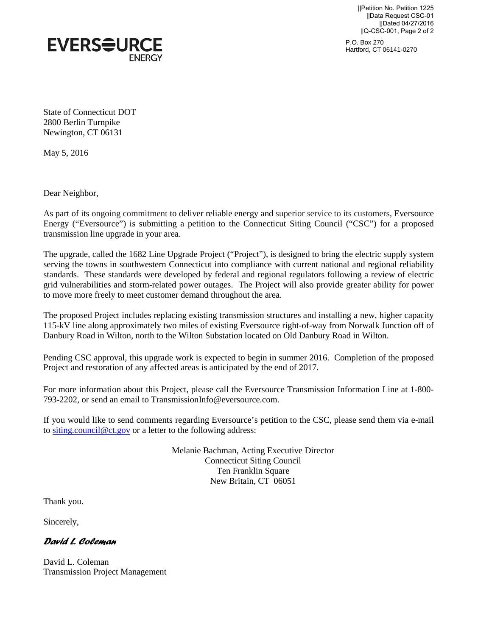||Petition No. Petition 1225 ||Data Request CSC-01 ||Dated 04/27/2016 ||Q-CSC-001, Page 2 of 2





State of Connecticut DOT 2800 Berlin Turnpike Newington, CT 06131

May 5, 2016

Dear Neighbor,

As part of its ongoing commitment to deliver reliable energy and superior service to its customers, Eversource Energy ("Eversource") is submitting a petition to the Connecticut Siting Council ("CSC") for a proposed transmission line upgrade in your area.

The upgrade, called the 1682 Line Upgrade Project ("Project"), is designed to bring the electric supply system serving the towns in southwestern Connecticut into compliance with current national and regional reliability standards. These standards were developed by federal and regional regulators following a review of electric grid vulnerabilities and storm-related power outages. The Project will also provide greater ability for power to move more freely to meet customer demand throughout the area.

The proposed Project includes replacing existing transmission structures and installing a new, higher capacity 115-kV line along approximately two miles of existing Eversource right-of-way from Norwalk Junction off of Danbury Road in Wilton, north to the Wilton Substation located on Old Danbury Road in Wilton.

Pending CSC approval, this upgrade work is expected to begin in summer 2016. Completion of the proposed Project and restoration of any affected areas is anticipated by the end of 2017.

For more information about this Project, please call the Eversource Transmission Information Line at 1-800- 793-2202, or send an email to TransmissionInfo@eversource.com.

If you would like to send comments regarding Eversource's petition to the CSC, please send them via e-mail to [siting.council@ct.gov](mailto:siting.council@ct.gov) or a letter to the following address:

> Melanie Bachman, Acting Executive Director Connecticut Siting Council Ten Franklin Square New Britain, CT 06051

Thank you.

Sincerely,

### *David L. Coleman*

David L. Coleman Transmission Project Management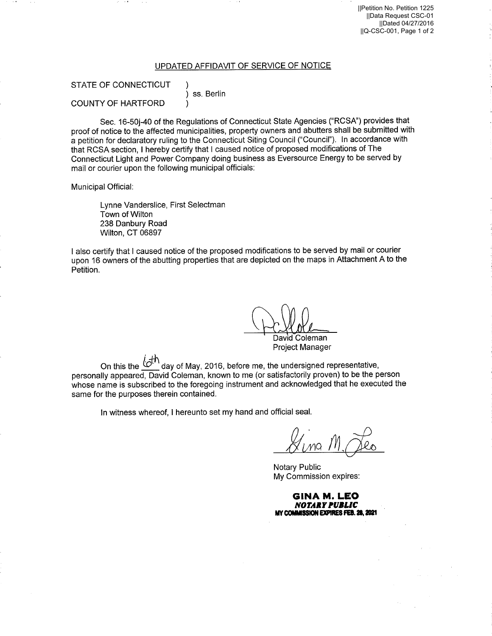#### UPDATED AFFIDAVIT OF SERVICE OF NOTICE

# **STATE OF CONNECTICUT**

ss. Berlin

**COUNTY OF HARTFORD** 

Sec. 16-50j-40 of the Regulations of Connecticut State Agencies ("RCSA") provides that proof of notice to the affected municipalities, property owners and abutters shall be submitted with a petition for declaratory ruling to the Connecticut Siting Council ("Council"). In accordance with that RCSA section, I hereby certify that I caused notice of proposed modifications of The Connecticut Light and Power Company doing business as Eversource Energy to be served by mail or courier upon the following municipal officials:

Municipal Official:

Lynne Vanderslice, First Selectman Town of Wilton 238 Danbury Road Wilton, CT 06897

I also certify that I caused notice of the proposed modifications to be served by mail or courier upon 16 owners of the abutting properties that are depicted on the maps in Attachment A to the Petition.

David Coleman **Project Manager** 

On this the  $\overline{\mathcal{C}}^{\uparrow\uparrow}$  day of May, 2016, before me, the undersigned representative, personally appeared, David Coleman, known to me (or satisfactorily proven) to be the person whose name is subscribed to the foregoing instrument and acknowledged that he executed the same for the purposes therein contained.

In witness whereof, I hereunto set my hand and official seal.

**Notary Public** My Commission expires:

GINA M. LEO **NOTARY PUBLIC** MY COMMISSION EXPIRES FEB. 28, 2021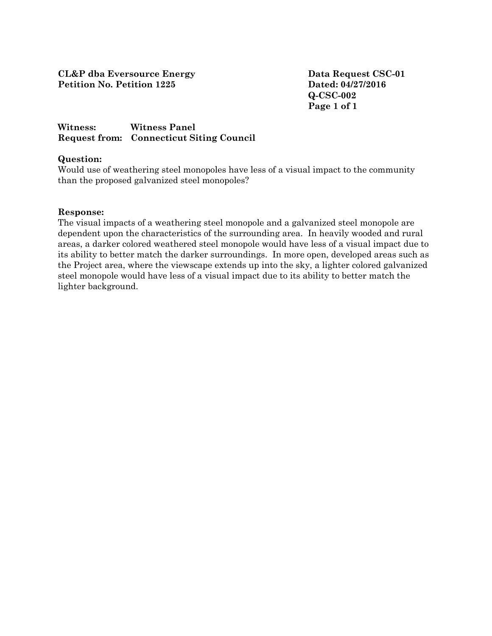**Q-CSC-002 Page 1 of 1**

### **Witness: Witness Panel Request from: Connecticut Siting Council**

### **Question:**

Would use of weathering steel monopoles have less of a visual impact to the community than the proposed galvanized steel monopoles?

### **Response:**

The visual impacts of a weathering steel monopole and a galvanized steel monopole are dependent upon the characteristics of the surrounding area. In heavily wooded and rural areas, a darker colored weathered steel monopole would have less of a visual impact due to its ability to better match the darker surroundings. In more open, developed areas such as the Project area, where the viewscape extends up into the sky, a lighter colored galvanized steel monopole would have less of a visual impact due to its ability to better match the lighter background.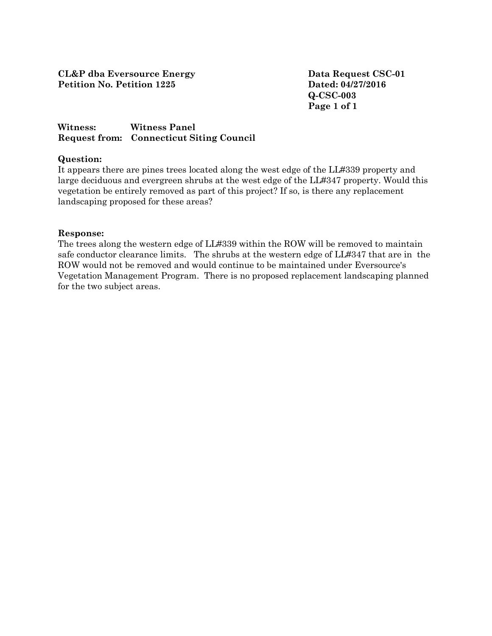**Q-CSC-003 Page 1 of 1**

## **Witness: Witness Panel Request from: Connecticut Siting Council**

### **Question:**

It appears there are pines trees located along the west edge of the LL#339 property and large deciduous and evergreen shrubs at the west edge of the LL#347 property. Would this vegetation be entirely removed as part of this project? If so, is there any replacement landscaping proposed for these areas?

### **Response:**

The trees along the western edge of LL#339 within the ROW will be removed to maintain safe conductor clearance limits. The shrubs at the western edge of LL#347 that are in the ROW would not be removed and would continue to be maintained under Eversource's Vegetation Management Program. There is no proposed replacement landscaping planned for the two subject areas.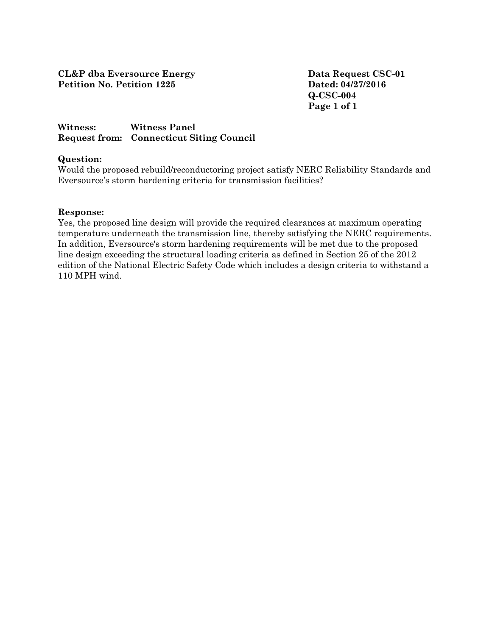**Q-CSC-004 Page 1 of 1**

### **Witness: Witness Panel Request from: Connecticut Siting Council**

### **Question:**

Would the proposed rebuild/reconductoring project satisfy NERC Reliability Standards and Eversource's storm hardening criteria for transmission facilities?

### **Response:**

Yes, the proposed line design will provide the required clearances at maximum operating temperature underneath the transmission line, thereby satisfying the NERC requirements. In addition, Eversource's storm hardening requirements will be met due to the proposed line design exceeding the structural loading criteria as defined in Section 25 of the 2012 edition of the National Electric Safety Code which includes a design criteria to withstand a 110 MPH wind.